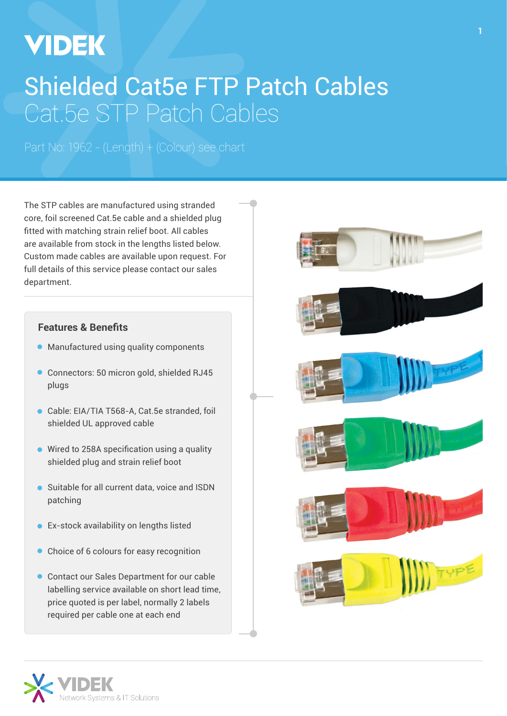# **VIDEK**

## Shielded Cat5e FTP Patch Cables Cat.5e STP Patch Cables

Part No: 1962 - (Length) + (Colour) see chart

The STP cables are manufactured using stranded core, foil screened Cat.5e cable and a shielded plug fitted with matching strain relief boot. All cables are available from stock in the lengths listed below. Custom made cables are available upon request. For full details of this service please contact our sales department.

#### **Features & Benefits**

- **Manufactured using quality components**
- Connectors: 50 micron gold, shielded RJ45 plugs
- Cable: EIA/TIA T568-A, Cat.5e stranded, foil shielded UL approved cable
- Wired to 258A specification using a quality shielded plug and strain relief boot
- Suitable for all current data, voice and ISDN patching
- Ex-stock availability on lengths listed ò
- Choice of 6 colours for easy recognition
- Contact our Sales Department for our cable labelling service available on short lead time, price quoted is per label, normally 2 labels required per cable one at each end